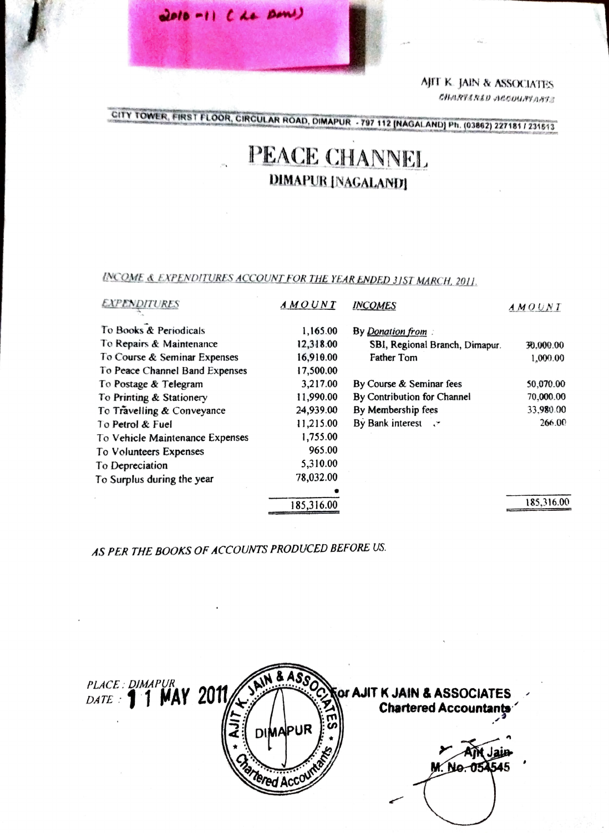ApT K. JAIN & ASSOXIATES CHARVARED ACCOUNTANTS

CITY TOWER, FIRST FLOOR, CIRCULAR ROAD, DIMAPUR - 797 112 (NAGALAND) Ph. (03862) 227181 / 231513

## PEACE CHANNEL DIMAPUR [NAGALAND]

NCOME & EXPENDITURES ACCOUNT FOR THE YEARENDED 315T MARCH, 2011

2010-11 CLE DOW)

| <i><b>EXPENDITURES</b></i>      | AMOUNT     | <b>INCOMES</b>                 | AMOUNT     |
|---------------------------------|------------|--------------------------------|------------|
| To Books & Periodicals          | 1,165.00   | By Donation from               |            |
| To Repairs & Maintenance        | 12,318.00  | SBI, Regional Branch, Dimapur. | 30.000.00  |
| To Course & Seminar Expenses    | 16,910.00  | Father Tom                     | 1,000.00   |
| To Peace Channel Band Expenses  | 17,500.00  |                                |            |
| To Postage & Telegram           | 3,217.00   | By Course & Seminar fees       | 50,070.00  |
| To Printing & Stationery        | 11,990.00  | By Contribution for Channel    | 70,000.00  |
| To Travelling & Conveyance      | 24,939.00  | By Membership fees             | 33,980.00  |
| To Petrol & Fuel                | 11,215.00  | By Bank interest .             | 266.00     |
| To Vehicle Maintenance Expenses | 1,755.00   |                                |            |
| To Volunteers Expenses          | 965.00     |                                |            |
| To Depreciation                 | 5,310.00   |                                |            |
| To Surplus during the year      | 78,032.00  |                                |            |
|                                 |            |                                |            |
|                                 | 185,316.00 |                                | 185,316.00 |
|                                 |            |                                |            |

AS PER THE BOOKS OF ACCOUNTS PRODUCED BEFORE US.

| PLACE: DIMAPURAY 2011 | <b>DIMAPUR</b> | <b>For AJIT K JAIN &amp; ASSOCIATES</b> |
|-----------------------|----------------|-----------------------------------------|
|                       |                |                                         |